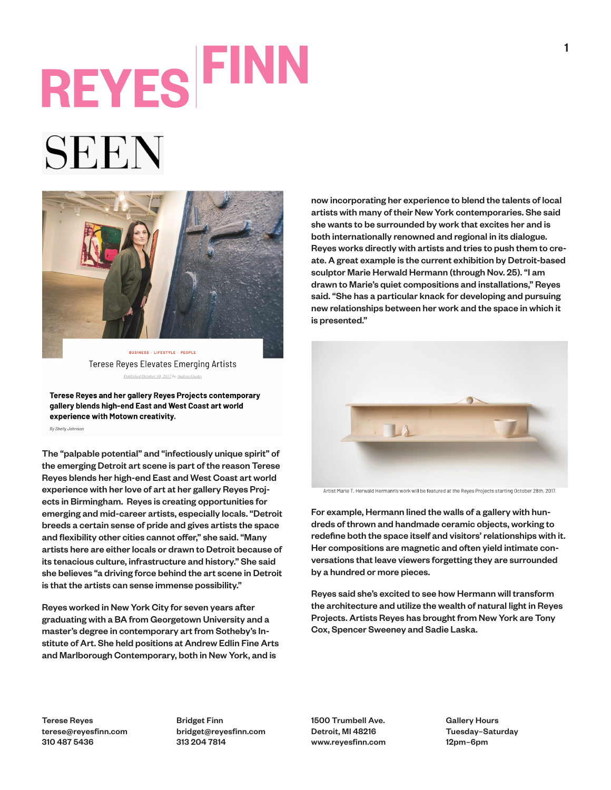## **REYES FINE**

## SEEN



**BUSINESS - LIFESTYLE - PEOPLE Terese Reyes Elevates Emerging Artists** Published October 30, 2017 by Andrea Gusho

Terese Reyes and her gallery Reyes Projects contemporary gallery blends high-end East and West Coast art world experience with Motown creativity.

By Shelly Johnson

The "palpable potential" and "infectiously unique spirit" of the emerging Detroit art scene is part of the reason Terese Reyes blends her high-end East and West Coast art world experience with her love of art at her gallery Reyes Projects in Birmingham. Reyes is creating opportunities for emerging and mid-career artists, especially locals. "Detroit breeds a certain sense of pride and gives artists the space and flexibility other cities cannot offer," she said. "Many artists here are either locals or drawn to Detroit because of its tenacious culture, infrastructure and history." She said she believes "a driving force behind the art scene in Detroit is that the artists can sense immense possibility."

Reyes worked in New York City for seven years after graduating with a BA from Georgetown University and a master's degree in contemporary art from Sotheby's Institute of Art. She held positions at Andrew Edlin Fine Arts and Marlborough Contemporary, both in New York, and is

now incorporating her experience to blend the talents of local artists with many of their New York contemporaries. She said she wants to be surrounded by work that excites her and is both internationally renowned and regional in its dialogue. Reyes works directly with artists and tries to push them to create. A great example is the current exhibition by Detroit-based sculptor Marie Herwald Hermann (through Nov. 25). "I am drawn to Marie's quiet compositions and installations," Reyes said. "She has a particular knack for developing and pursuing new relationships between her work and the space in which it is presented."



Artist Marie T. Herwald Hermann's work will be featured at the Reyes Projects starting October 28th, 2017.

For example, Hermann lined the walls of a gallery with hundreds of thrown and handmade ceramic objects, working to redefine both the space itself and visitors' relationships with it. Her compositions are magnetic and often yield intimate conversations that leave viewers forgetting they are surrounded by a hundred or more pieces.

Reyes said she's excited to see how Hermann will transform the architecture and utilize the wealth of natural light in Reyes Projects. Artists Reyes has brought from New York are Tony Cox, Spencer Sweeney and Sadie Laska.

Terese Reyes terese@reyesfinn.com 310 487 5436

Bridget Finn bridget@reyesfinn.com 313 204 7814

1500 Trumbell Ave. Detroit, MI 48216 www.reyesfinn.com Gallery Hours Tuesday–Saturday 12pm–6pm